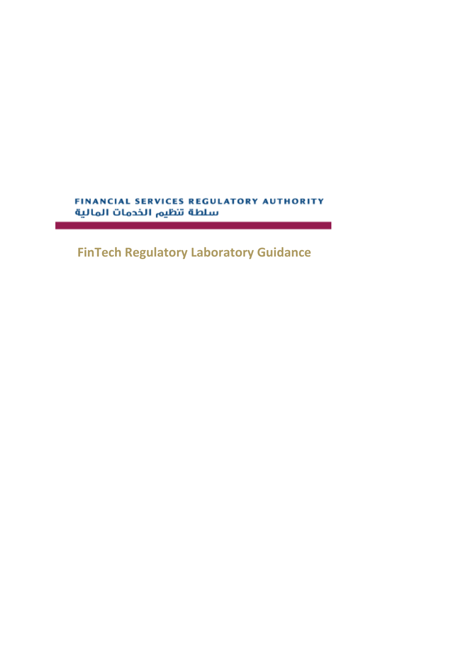FINANCIAL SERVICES REGULATORY AUTHORITY سلطة تنظيم الخدمات المالية

**FinTech Regulatory Laboratory Guidance**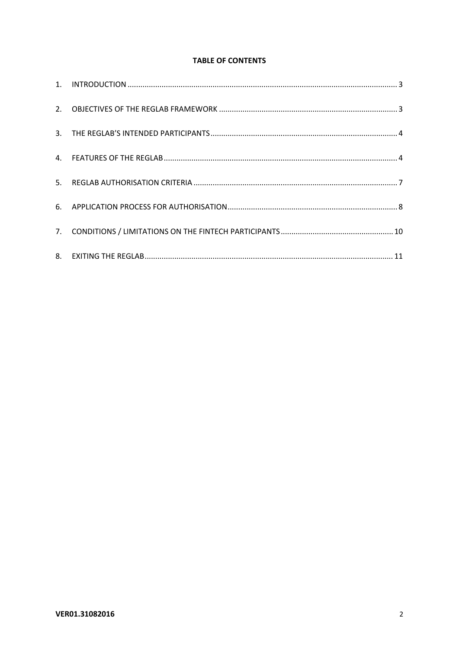## **TABLE OF CONTENTS**

| 5. |  |
|----|--|
|    |  |
|    |  |
|    |  |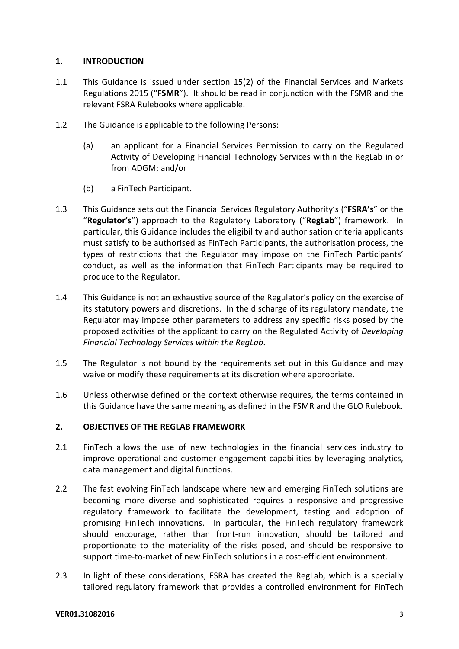# **1. INTRODUCTION**

- 1.1 This Guidance is issued under section 15(2) of the Financial Services and Markets Regulations 2015 ("**FSMR**"). It should be read in conjunction with the FSMR and the relevant FSRA Rulebooks where applicable.
- 1.2 The Guidance is applicable to the following Persons:
	- (a) an applicant for a Financial Services Permission to carry on the Regulated Activity of Developing Financial Technology Services within the RegLab in or from ADGM; and/or
	- (b) a FinTech Participant.
- 1.3 This Guidance sets out the Financial Services Regulatory Authority's ("**FSRA's**" or the "**Regulator's**") approach to the Regulatory Laboratory ("**RegLab**") framework. In particular, this Guidance includes the eligibility and authorisation criteria applicants must satisfy to be authorised as FinTech Participants, the authorisation process, the types of restrictions that the Regulator may impose on the FinTech Participants' conduct, as well as the information that FinTech Participants may be required to produce to the Regulator.
- 1.4 This Guidance is not an exhaustive source of the Regulator's policy on the exercise of its statutory powers and discretions. In the discharge of its regulatory mandate, the Regulator may impose other parameters to address any specific risks posed by the proposed activities of the applicant to carry on the Regulated Activity of *Developing Financial Technology Services within the RegLab*.
- 1.5 The Regulator is not bound by the requirements set out in this Guidance and may waive or modify these requirements at its discretion where appropriate.
- 1.6 Unless otherwise defined or the context otherwise requires, the terms contained in this Guidance have the same meaning as defined in the FSMR and the GLO Rulebook.

# **2. OBJECTIVES OF THE REGLAB FRAMEWORK**

- 2.1 FinTech allows the use of new technologies in the financial services industry to improve operational and customer engagement capabilities by leveraging analytics, data management and digital functions.
- 2.2 The fast evolving FinTech landscape where new and emerging FinTech solutions are becoming more diverse and sophisticated requires a responsive and progressive regulatory framework to facilitate the development, testing and adoption of promising FinTech innovations. In particular, the FinTech regulatory framework should encourage, rather than front‐run innovation, should be tailored and proportionate to the materiality of the risks posed, and should be responsive to support time-to-market of new FinTech solutions in a cost-efficient environment.
- 2.3 In light of these considerations, FSRA has created the RegLab, which is a specially tailored regulatory framework that provides a controlled environment for FinTech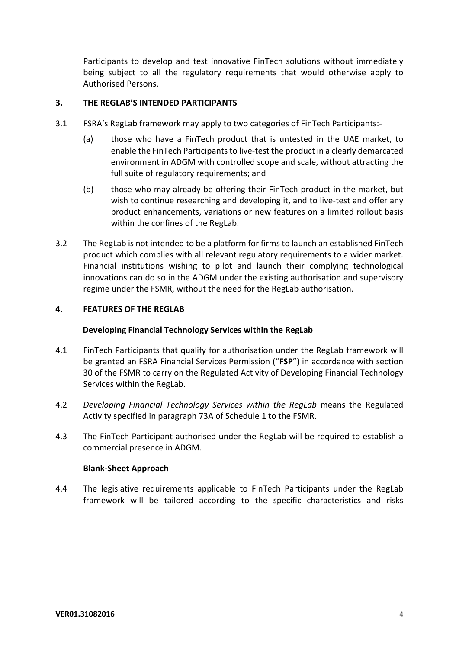Participants to develop and test innovative FinTech solutions without immediately being subject to all the regulatory requirements that would otherwise apply to Authorised Persons.

## **3. THE REGLAB'S INTENDED PARTICIPANTS**

- 3.1 FSRA's RegLab framework may apply to two categories of FinTech Participants:‐
	- (a) those who have a FinTech product that is untested in the UAE market, to enable the FinTech Participants to live-test the product in a clearly demarcated environment in ADGM with controlled scope and scale, without attracting the full suite of regulatory requirements; and
	- (b) those who may already be offering their FinTech product in the market, but wish to continue researching and developing it, and to live-test and offer any product enhancements, variations or new features on a limited rollout basis within the confines of the RegLab.
- 3.2 The RegLab is not intended to be a platform for firms to launch an established FinTech product which complies with all relevant regulatory requirements to a wider market. Financial institutions wishing to pilot and launch their complying technological innovations can do so in the ADGM under the existing authorisation and supervisory regime under the FSMR, without the need for the RegLab authorisation.

## **4. FEATURES OF THE REGLAB**

#### **Developing Financial Technology Services within the RegLab**

- 4.1 FinTech Participants that qualify for authorisation under the RegLab framework will be granted an FSRA Financial Services Permission ("**FSP**") in accordance with section 30 of the FSMR to carry on the Regulated Activity of Developing Financial Technology Services within the RegLab.
- 4.2 *Developing Financial Technology Services within the RegLab* means the Regulated Activity specified in paragraph 73A of Schedule 1 to the FSMR.
- 4.3 The FinTech Participant authorised under the RegLab will be required to establish a commercial presence in ADGM.

#### **Blank‐Sheet Approach**

4.4 The legislative requirements applicable to FinTech Participants under the RegLab framework will be tailored according to the specific characteristics and risks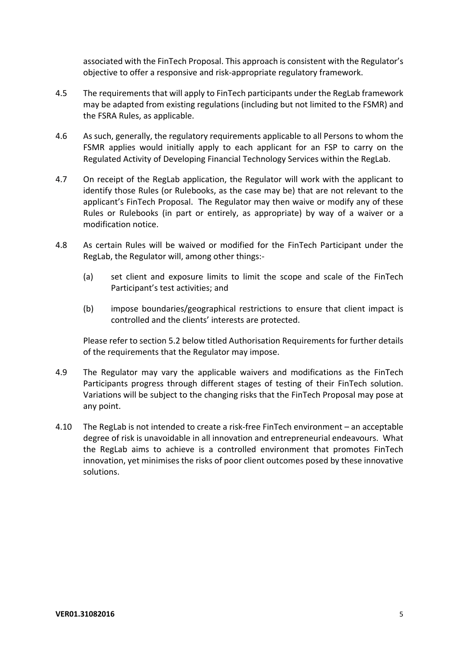associated with the FinTech Proposal. This approach is consistent with the Regulator's objective to offer a responsive and risk‐appropriate regulatory framework.

- 4.5 The requirements that will apply to FinTech participants under the RegLab framework may be adapted from existing regulations (including but not limited to the FSMR) and the FSRA Rules, as applicable.
- 4.6 As such, generally, the regulatory requirements applicable to all Persons to whom the FSMR applies would initially apply to each applicant for an FSP to carry on the Regulated Activity of Developing Financial Technology Services within the RegLab.
- 4.7 On receipt of the RegLab application, the Regulator will work with the applicant to identify those Rules (or Rulebooks, as the case may be) that are not relevant to the applicant's FinTech Proposal. The Regulator may then waive or modify any of these Rules or Rulebooks (in part or entirely, as appropriate) by way of a waiver or a modification notice.
- 4.8 As certain Rules will be waived or modified for the FinTech Participant under the RegLab, the Regulator will, among other things:‐
	- (a) set client and exposure limits to limit the scope and scale of the FinTech Participant's test activities; and
	- (b) impose boundaries/geographical restrictions to ensure that client impact is controlled and the clients' interests are protected.

Please refer to section 5.2 below titled Authorisation Requirements for further details of the requirements that the Regulator may impose.

- 4.9 The Regulator may vary the applicable waivers and modifications as the FinTech Participants progress through different stages of testing of their FinTech solution. Variations will be subject to the changing risks that the FinTech Proposal may pose at any point.
- 4.10 The RegLab is not intended to create a risk‐free FinTech environment an acceptable degree of risk is unavoidable in all innovation and entrepreneurial endeavours. What the RegLab aims to achieve is a controlled environment that promotes FinTech innovation, yet minimises the risks of poor client outcomes posed by these innovative solutions.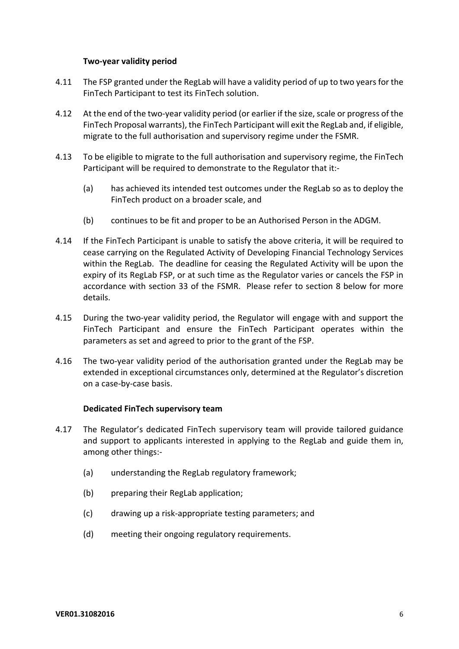## **Two‐year validity period**

- 4.11 The FSP granted under the RegLab will have a validity period of up to two yearsfor the FinTech Participant to test its FinTech solution.
- 4.12 At the end of the two-year validity period (or earlier if the size, scale or progress of the FinTech Proposal warrants), the FinTech Participant will exit the RegLab and, if eligible, migrate to the full authorisation and supervisory regime under the FSMR.
- 4.13 To be eligible to migrate to the full authorisation and supervisory regime, the FinTech Participant will be required to demonstrate to the Regulator that it:‐
	- (a) has achieved its intended test outcomes under the RegLab so as to deploy the FinTech product on a broader scale, and
	- (b) continues to be fit and proper to be an Authorised Person in the ADGM.
- 4.14 If the FinTech Participant is unable to satisfy the above criteria, it will be required to cease carrying on the Regulated Activity of Developing Financial Technology Services within the RegLab. The deadline for ceasing the Regulated Activity will be upon the expiry of its RegLab FSP, or at such time as the Regulator varies or cancels the FSP in accordance with section 33 of the FSMR. Please refer to section 8 below for more details.
- 4.15 During the two‐year validity period, the Regulator will engage with and support the FinTech Participant and ensure the FinTech Participant operates within the parameters as set and agreed to prior to the grant of the FSP.
- 4.16 The two-year validity period of the authorisation granted under the RegLab may be extended in exceptional circumstances only, determined at the Regulator's discretion on a case‐by‐case basis.

## **Dedicated FinTech supervisory team**

- 4.17 The Regulator's dedicated FinTech supervisory team will provide tailored guidance and support to applicants interested in applying to the RegLab and guide them in, among other things:‐
	- (a) understanding the RegLab regulatory framework;
	- (b) preparing their RegLab application;
	- (c) drawing up a risk‐appropriate testing parameters; and
	- (d) meeting their ongoing regulatory requirements.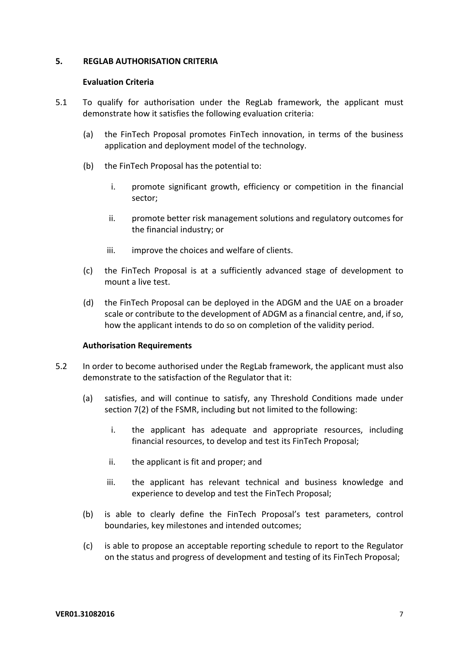### **5. REGLAB AUTHORISATION CRITERIA**

#### **Evaluation Criteria**

- 5.1 To qualify for authorisation under the RegLab framework, the applicant must demonstrate how it satisfies the following evaluation criteria:
	- (a) the FinTech Proposal promotes FinTech innovation, in terms of the business application and deployment model of the technology.
	- (b) the FinTech Proposal has the potential to:
		- i. promote significant growth, efficiency or competition in the financial sector;
		- ii. promote better risk management solutions and regulatory outcomes for the financial industry; or
		- iii. improve the choices and welfare of clients.
	- (c) the FinTech Proposal is at a sufficiently advanced stage of development to mount a live test.
	- (d) the FinTech Proposal can be deployed in the ADGM and the UAE on a broader scale or contribute to the development of ADGM as a financial centre, and, if so, how the applicant intends to do so on completion of the validity period.

## **Authorisation Requirements**

- 5.2 In order to become authorised under the RegLab framework, the applicant must also demonstrate to the satisfaction of the Regulator that it:
	- (a) satisfies, and will continue to satisfy, any Threshold Conditions made under section 7(2) of the FSMR, including but not limited to the following:
		- i. the applicant has adequate and appropriate resources, including financial resources, to develop and test its FinTech Proposal;
		- ii. the applicant is fit and proper; and
		- iii. the applicant has relevant technical and business knowledge and experience to develop and test the FinTech Proposal;
	- (b) is able to clearly define the FinTech Proposal's test parameters, control boundaries, key milestones and intended outcomes;
	- (c) is able to propose an acceptable reporting schedule to report to the Regulator on the status and progress of development and testing of its FinTech Proposal;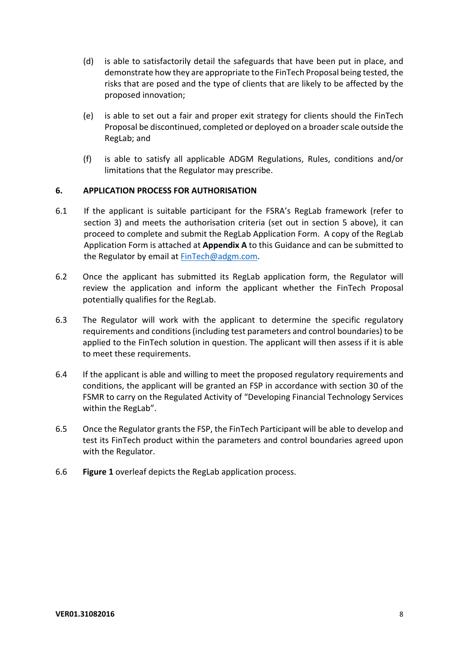- (d) is able to satisfactorily detail the safeguards that have been put in place, and demonstrate how they are appropriate to the FinTech Proposal being tested, the risks that are posed and the type of clients that are likely to be affected by the proposed innovation;
- (e) is able to set out a fair and proper exit strategy for clients should the FinTech Proposal be discontinued, completed or deployed on a broaderscale outside the RegLab; and
- (f) is able to satisfy all applicable ADGM Regulations, Rules, conditions and/or limitations that the Regulator may prescribe.

## **6. APPLICATION PROCESS FOR AUTHORISATION**

- 6.1 If the applicant is suitable participant for the FSRA's RegLab framework (refer to section 3) and meets the authorisation criteria (set out in section 5 above), it can proceed to complete and submit the RegLab Application Form. A copy of the RegLab Application Form is attached at **Appendix A** to this Guidance and can be submitted to the Regulator by email at FinTech@adgm.com.
- 6.2 Once the applicant has submitted its RegLab application form, the Regulator will review the application and inform the applicant whether the FinTech Proposal potentially qualifies for the RegLab.
- 6.3 The Regulator will work with the applicant to determine the specific regulatory requirements and conditions(including test parameters and control boundaries) to be applied to the FinTech solution in question. The applicant will then assess if it is able to meet these requirements.
- 6.4 If the applicant is able and willing to meet the proposed regulatory requirements and conditions, the applicant will be granted an FSP in accordance with section 30 of the FSMR to carry on the Regulated Activity of "Developing Financial Technology Services within the RegLab".
- 6.5 Once the Regulator grants the FSP, the FinTech Participant will be able to develop and test its FinTech product within the parameters and control boundaries agreed upon with the Regulator.
- 6.6 **Figure 1** overleaf depicts the RegLab application process.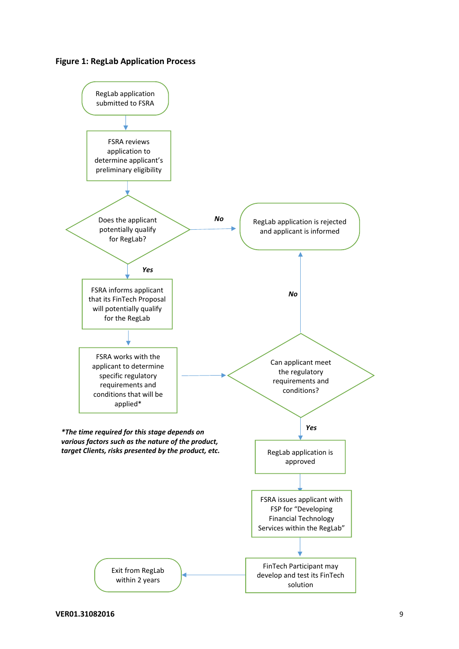

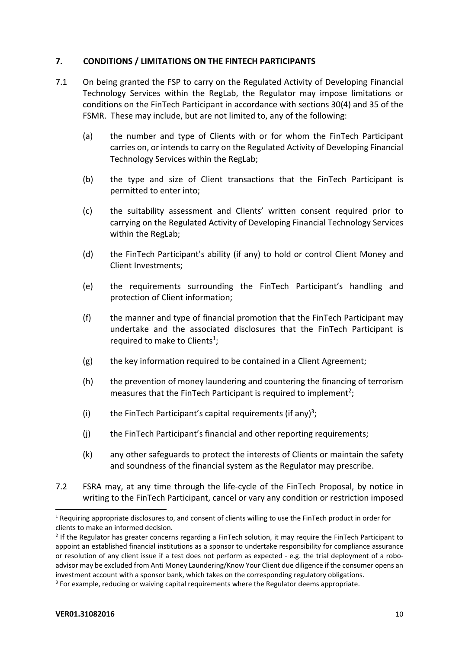# **7. CONDITIONS / LIMITATIONS ON THE FINTECH PARTICIPANTS**

- 7.1 On being granted the FSP to carry on the Regulated Activity of Developing Financial Technology Services within the RegLab, the Regulator may impose limitations or conditions on the FinTech Participant in accordance with sections 30(4) and 35 of the FSMR. These may include, but are not limited to, any of the following:
	- (a) the number and type of Clients with or for whom the FinTech Participant carries on, or intends to carry on the Regulated Activity of Developing Financial Technology Services within the RegLab;
	- (b) the type and size of Client transactions that the FinTech Participant is permitted to enter into;
	- (c) the suitability assessment and Clients' written consent required prior to carrying on the Regulated Activity of Developing Financial Technology Services within the RegLab;
	- (d) the FinTech Participant's ability (if any) to hold or control Client Money and Client Investments;
	- (e) the requirements surrounding the FinTech Participant's handling and protection of Client information;
	- (f) the manner and type of financial promotion that the FinTech Participant may undertake and the associated disclosures that the FinTech Participant is required to make to Clients<sup>1</sup>;
	- (g) the key information required to be contained in a Client Agreement;
	- (h) the prevention of money laundering and countering the financing of terrorism measures that the FinTech Participant is required to implement<sup>2</sup>;
	- (i) the FinTech Participant's capital requirements (if any)<sup>3</sup>;
	- (j) the FinTech Participant's financial and other reporting requirements;
	- (k) any other safeguards to protect the interests of Clients or maintain the safety and soundness of the financial system as the Regulator may prescribe.
- 7.2 FSRA may, at any time through the life‐cycle of the FinTech Proposal, by notice in writing to the FinTech Participant, cancel or vary any condition or restriction imposed

<sup>&</sup>lt;sup>1</sup> Requiring appropriate disclosures to, and consent of clients willing to use the FinTech product in order for clients to make an informed decision.

 $<sup>2</sup>$  If the Regulator has greater concerns regarding a FinTech solution, it may require the FinTech Participant to</sup> appoint an established financial institutions as a sponsor to undertake responsibility for compliance assurance or resolution of any client issue if a test does not perform as expected ‐ e.g. the trial deployment of a robo‐ advisor may be excluded from Anti Money Laundering/Know Your Client due diligence if the consumer opens an investment account with a sponsor bank, which takes on the corresponding regulatory obligations.

<sup>&</sup>lt;sup>3</sup> For example, reducing or waiving capital requirements where the Regulator deems appropriate.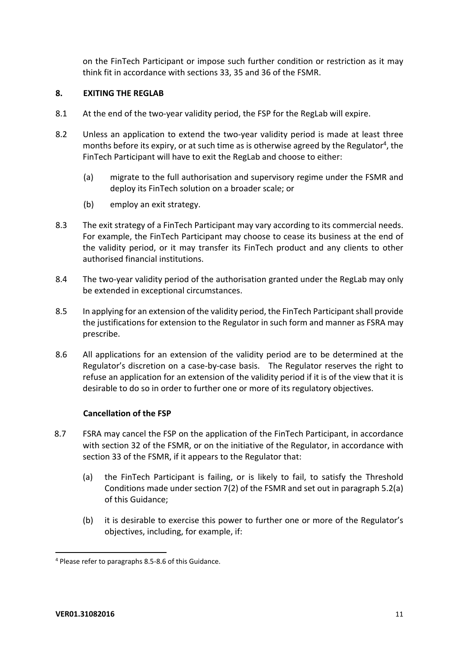on the FinTech Participant or impose such further condition or restriction as it may think fit in accordance with sections 33, 35 and 36 of the FSMR.

# **8. EXITING THE REGLAB**

- 8.1 At the end of the two-year validity period, the FSP for the RegLab will expire.
- 8.2 Unless an application to extend the two-vear validity period is made at least three months before its expiry, or at such time as is otherwise agreed by the Regulator<sup>4</sup>, the FinTech Participant will have to exit the RegLab and choose to either:
	- (a) migrate to the full authorisation and supervisory regime under the FSMR and deploy its FinTech solution on a broader scale; or
	- (b) employ an exit strategy.
- 8.3 The exit strategy of a FinTech Participant may vary according to its commercial needs. For example, the FinTech Participant may choose to cease its business at the end of the validity period, or it may transfer its FinTech product and any clients to other authorised financial institutions.
- 8.4 The two-year validity period of the authorisation granted under the RegLab may only be extended in exceptional circumstances.
- 8.5 In applying for an extension of the validity period, the FinTech Participant shall provide the justifications for extension to the Regulator in such form and manner as FSRA may prescribe.
- 8.6 All applications for an extension of the validity period are to be determined at the Regulator's discretion on a case-by-case basis. The Regulator reserves the right to refuse an application for an extension of the validity period if it is of the view that it is desirable to do so in order to further one or more of its regulatory objectives.

## **Cancellation of the FSP**

- 8.7 FSRA may cancel the FSP on the application of the FinTech Participant, in accordance with section 32 of the FSMR, or on the initiative of the Regulator, in accordance with section 33 of the FSMR, if it appears to the Regulator that:
	- (a) the FinTech Participant is failing, or is likely to fail, to satisfy the Threshold Conditions made under section 7(2) of the FSMR and set out in paragraph 5.2(a) of this Guidance;
	- (b) it is desirable to exercise this power to further one or more of the Regulator's objectives, including, for example, if:

<sup>4</sup> Please refer to paragraphs 8.5‐8.6 of this Guidance.